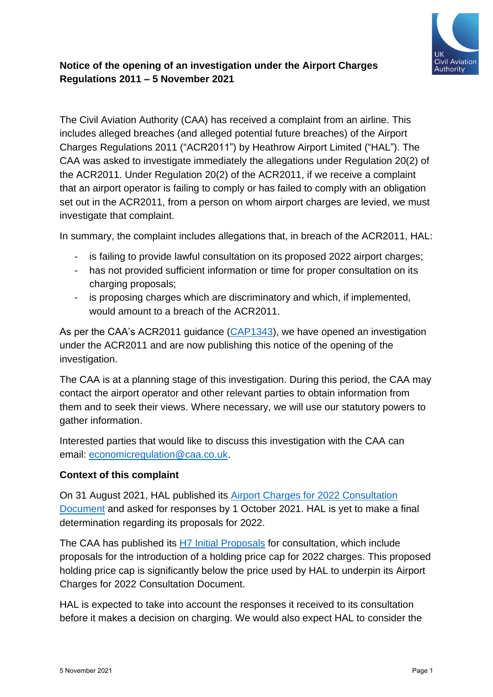

## **Notice of the opening of an investigation under the Airport Charges Regulations 2011 – 5 November 2021**

The Civil Aviation Authority (CAA) has received a complaint from an airline. This includes alleged breaches (and alleged potential future breaches) of the Airport Charges Regulations 2011 ("ACR2011") by Heathrow Airport Limited ("HAL"). The CAA was asked to investigate immediately the allegations under Regulation 20(2) of the ACR2011. Under Regulation 20(2) of the ACR2011, if we receive a complaint that an airport operator is failing to comply or has failed to comply with an obligation set out in the ACR2011, from a person on whom airport charges are levied, we must investigate that complaint.

In summary, the complaint includes allegations that, in breach of the ACR2011, HAL:

- is failing to provide lawful consultation on its proposed 2022 airport charges;
- has not provided sufficient information or time for proper consultation on its charging proposals;
- is proposing charges which are discriminatory and which, if implemented, would amount to a breach of the ACR2011.

As per the CAA's ACR2011 guidance [\(CAP1343\)](http://www.caa.co.uk/cap1343), we have opened an investigation under the ACR2011 and are now publishing this notice of the opening of the investigation.

The CAA is at a planning stage of this investigation. During this period, the CAA may contact the airport operator and other relevant parties to obtain information from them and to seek their views. Where necessary, we will use our statutory powers to gather information.

Interested parties that would like to discuss this investigation with the CAA can email: [economicregulation@caa.co.uk.](mailto:economicregulation@caa.co.uk?subject=ACRs%20complaint%202021)

## **Context of this complaint**

On 31 August 2021, HAL published its [Airport Charges for 2022 Consultation](https://www.heathrow.com/content/dam/heathrow/web/common/documents/company/doing-business-with-heathrow/flights-condition-of-use/consultation-documents/Heathrow-Airport-Charges-Consultation-Document-2022.pdf)  [Document](https://www.heathrow.com/content/dam/heathrow/web/common/documents/company/doing-business-with-heathrow/flights-condition-of-use/consultation-documents/Heathrow-Airport-Charges-Consultation-Document-2022.pdf) and asked for responses by 1 October 2021. HAL is yet to make a final determination regarding its proposals for 2022.

The CAA has published its H7 [Initial Proposals](https://www.caa.co.uk/News/UK-Civil-Aviation-Authority-consults-on-Heathrow-Airport-charges/) for consultation, which include proposals for the introduction of a holding price cap for 2022 charges. This proposed holding price cap is significantly below the price used by HAL to underpin its Airport Charges for 2022 Consultation Document.

HAL is expected to take into account the responses it received to its consultation before it makes a decision on charging. We would also expect HAL to consider the